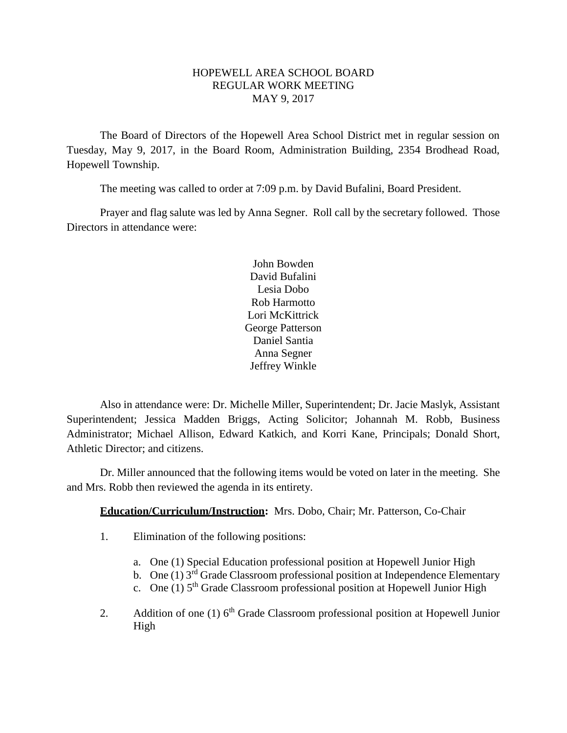## HOPEWELL AREA SCHOOL BOARD REGULAR WORK MEETING MAY 9, 2017

The Board of Directors of the Hopewell Area School District met in regular session on Tuesday, May 9, 2017, in the Board Room, Administration Building, 2354 Brodhead Road, Hopewell Township.

The meeting was called to order at 7:09 p.m. by David Bufalini, Board President.

Prayer and flag salute was led by Anna Segner. Roll call by the secretary followed. Those Directors in attendance were:

> John Bowden David Bufalini Lesia Dobo Rob Harmotto Lori McKittrick George Patterson Daniel Santia Anna Segner Jeffrey Winkle

Also in attendance were: Dr. Michelle Miller, Superintendent; Dr. Jacie Maslyk, Assistant Superintendent; Jessica Madden Briggs, Acting Solicitor; Johannah M. Robb, Business Administrator; Michael Allison, Edward Katkich, and Korri Kane, Principals; Donald Short, Athletic Director; and citizens.

Dr. Miller announced that the following items would be voted on later in the meeting. She and Mrs. Robb then reviewed the agenda in its entirety.

# **Education/Curriculum/Instruction:** Mrs. Dobo, Chair; Mr. Patterson, Co-Chair

- 1. Elimination of the following positions:
	- a. One (1) Special Education professional position at Hopewell Junior High
	- b. One (1)  $3^{\overline{rd}}$  Grade Classroom professional position at Independence Elementary
	- c. One (1)  $5<sup>th</sup>$  Grade Classroom professional position at Hopewell Junior High
- 2. Addition of one (1)  $6<sup>th</sup>$  Grade Classroom professional position at Hopewell Junior High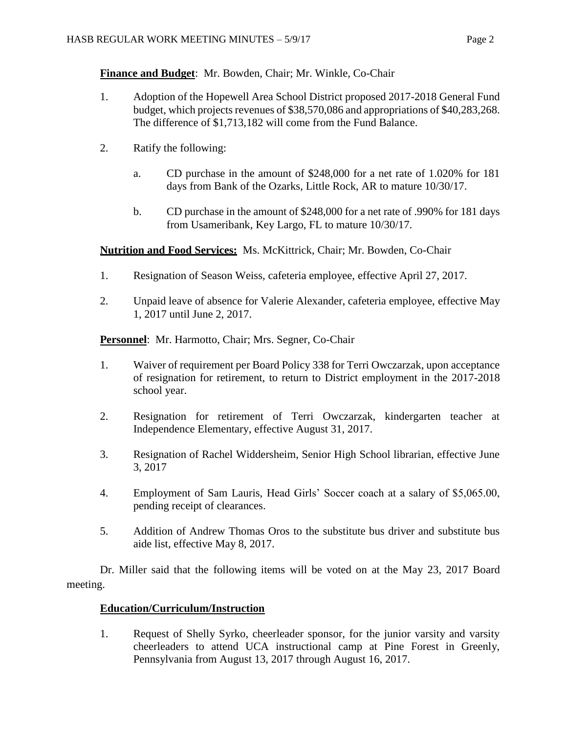**Finance and Budget**: Mr. Bowden, Chair; Mr. Winkle, Co-Chair

- 1. Adoption of the Hopewell Area School District proposed 2017-2018 General Fund budget, which projects revenues of \$38,570,086 and appropriations of \$40,283,268. The difference of \$1,713,182 will come from the Fund Balance.
- 2. Ratify the following:
	- a. CD purchase in the amount of \$248,000 for a net rate of 1.020% for 181 days from Bank of the Ozarks, Little Rock, AR to mature 10/30/17.
	- b. CD purchase in the amount of \$248,000 for a net rate of .990% for 181 days from Usameribank, Key Largo, FL to mature 10/30/17.

**Nutrition and Food Services:** Ms. McKittrick, Chair; Mr. Bowden, Co-Chair

- 1. Resignation of Season Weiss, cafeteria employee, effective April 27, 2017.
- 2. Unpaid leave of absence for Valerie Alexander, cafeteria employee, effective May 1, 2017 until June 2, 2017.

**Personnel**: Mr. Harmotto, Chair; Mrs. Segner, Co-Chair

- 1. Waiver of requirement per Board Policy 338 for Terri Owczarzak, upon acceptance of resignation for retirement, to return to District employment in the 2017-2018 school year.
- 2. Resignation for retirement of Terri Owczarzak, kindergarten teacher at Independence Elementary, effective August 31, 2017.
- 3. Resignation of Rachel Widdersheim, Senior High School librarian, effective June 3, 2017
- 4. Employment of Sam Lauris, Head Girls' Soccer coach at a salary of \$5,065.00, pending receipt of clearances.
- 5. Addition of Andrew Thomas Oros to the substitute bus driver and substitute bus aide list, effective May 8, 2017.

Dr. Miller said that the following items will be voted on at the May 23, 2017 Board meeting.

## **Education/Curriculum/Instruction**

1. Request of Shelly Syrko, cheerleader sponsor, for the junior varsity and varsity cheerleaders to attend UCA instructional camp at Pine Forest in Greenly, Pennsylvania from August 13, 2017 through August 16, 2017.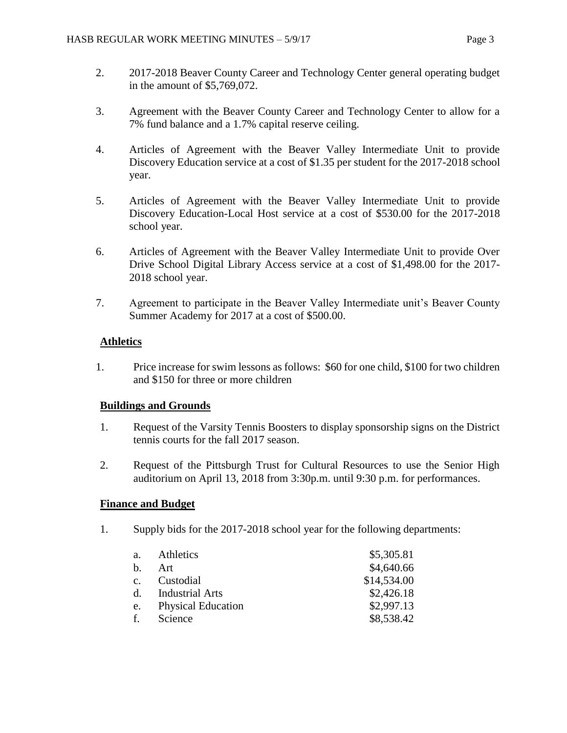- 2. 2017-2018 Beaver County Career and Technology Center general operating budget in the amount of \$5,769,072.
- 3. Agreement with the Beaver County Career and Technology Center to allow for a 7% fund balance and a 1.7% capital reserve ceiling.
- 4. Articles of Agreement with the Beaver Valley Intermediate Unit to provide Discovery Education service at a cost of \$1.35 per student for the 2017-2018 school year.
- 5. Articles of Agreement with the Beaver Valley Intermediate Unit to provide Discovery Education-Local Host service at a cost of \$530.00 for the 2017-2018 school year.
- 6. Articles of Agreement with the Beaver Valley Intermediate Unit to provide Over Drive School Digital Library Access service at a cost of \$1,498.00 for the 2017- 2018 school year.
- 7. Agreement to participate in the Beaver Valley Intermediate unit's Beaver County Summer Academy for 2017 at a cost of \$500.00.

# **Athletics**

1. Price increase for swim lessons as follows: \$60 for one child, \$100 for two children and \$150 for three or more children

## **Buildings and Grounds**

- 1. Request of the Varsity Tennis Boosters to display sponsorship signs on the District tennis courts for the fall 2017 season.
- 2. Request of the Pittsburgh Trust for Cultural Resources to use the Senior High auditorium on April 13, 2018 from 3:30p.m. until 9:30 p.m. for performances.

## **Finance and Budget**

1. Supply bids for the 2017-2018 school year for the following departments:

| a.          | Athletics                 | \$5,305.81  |
|-------------|---------------------------|-------------|
| $h_{\cdot}$ | Art                       | \$4,640.66  |
| c.          | Custodial                 | \$14,534.00 |
| $d_{\cdot}$ | <b>Industrial Arts</b>    | \$2,426.18  |
| e.          | <b>Physical Education</b> | \$2,997.13  |
| f.          | Science                   | \$8,538.42  |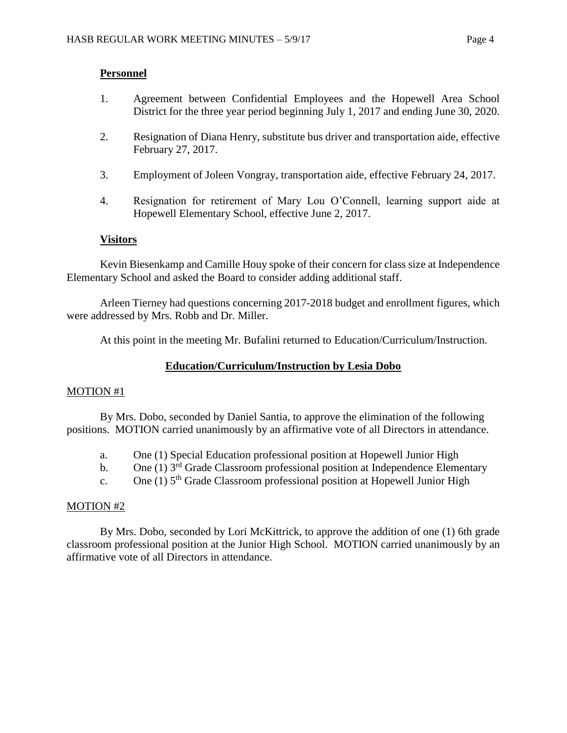## **Personnel**

- 1. Agreement between Confidential Employees and the Hopewell Area School District for the three year period beginning July 1, 2017 and ending June 30, 2020.
- 2. Resignation of Diana Henry, substitute bus driver and transportation aide, effective February 27, 2017.
- 3. Employment of Joleen Vongray, transportation aide, effective February 24, 2017.
- 4. Resignation for retirement of Mary Lou O'Connell, learning support aide at Hopewell Elementary School, effective June 2, 2017.

# **Visitors**

Kevin Biesenkamp and Camille Houy spoke of their concern for class size at Independence Elementary School and asked the Board to consider adding additional staff.

Arleen Tierney had questions concerning 2017-2018 budget and enrollment figures, which were addressed by Mrs. Robb and Dr. Miller.

At this point in the meeting Mr. Bufalini returned to Education/Curriculum/Instruction.

# **Education/Curriculum/Instruction by Lesia Dobo**

## MOTION #1

By Mrs. Dobo, seconded by Daniel Santia, to approve the elimination of the following positions. MOTION carried unanimously by an affirmative vote of all Directors in attendance.

- a. One (1) Special Education professional position at Hopewell Junior High
- b. One (1)  $3<sup>rd</sup>$  Grade Classroom professional position at Independence Elementary
- c. One (1)  $5<sup>th</sup>$  Grade Classroom professional position at Hopewell Junior High

## MOTION #2

By Mrs. Dobo, seconded by Lori McKittrick, to approve the addition of one (1) 6th grade classroom professional position at the Junior High School. MOTION carried unanimously by an affirmative vote of all Directors in attendance.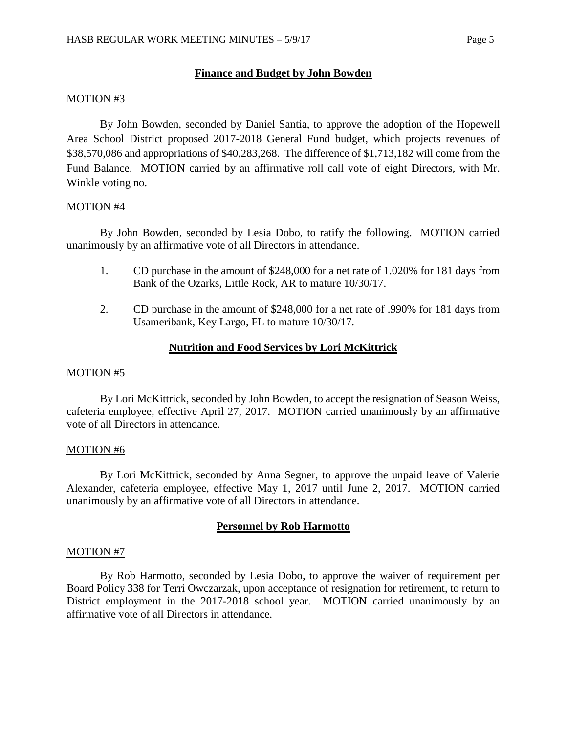### **Finance and Budget by John Bowden**

### MOTION #3

By John Bowden, seconded by Daniel Santia, to approve the adoption of the Hopewell Area School District proposed 2017-2018 General Fund budget, which projects revenues of \$38,570,086 and appropriations of \$40,283,268. The difference of \$1,713,182 will come from the Fund Balance. MOTION carried by an affirmative roll call vote of eight Directors, with Mr. Winkle voting no.

### MOTION #4

By John Bowden, seconded by Lesia Dobo, to ratify the following. MOTION carried unanimously by an affirmative vote of all Directors in attendance.

- 1. CD purchase in the amount of \$248,000 for a net rate of 1.020% for 181 days from Bank of the Ozarks, Little Rock, AR to mature 10/30/17.
- 2. CD purchase in the amount of \$248,000 for a net rate of .990% for 181 days from Usameribank, Key Largo, FL to mature 10/30/17.

### **Nutrition and Food Services by Lori McKittrick**

#### MOTION #5

By Lori McKittrick, seconded by John Bowden, to accept the resignation of Season Weiss, cafeteria employee, effective April 27, 2017. MOTION carried unanimously by an affirmative vote of all Directors in attendance.

#### MOTION #6

By Lori McKittrick, seconded by Anna Segner, to approve the unpaid leave of Valerie Alexander, cafeteria employee, effective May 1, 2017 until June 2, 2017. MOTION carried unanimously by an affirmative vote of all Directors in attendance.

### **Personnel by Rob Harmotto**

#### MOTION #7

By Rob Harmotto, seconded by Lesia Dobo, to approve the waiver of requirement per Board Policy 338 for Terri Owczarzak, upon acceptance of resignation for retirement, to return to District employment in the 2017-2018 school year. MOTION carried unanimously by an affirmative vote of all Directors in attendance.